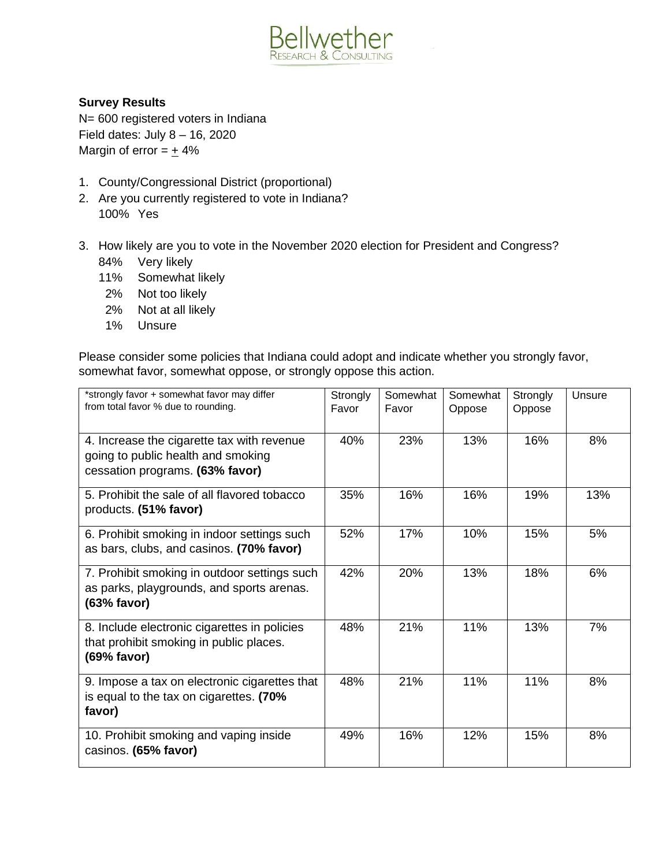

## **Survey Results**

N= 600 registered voters in Indiana Field dates: July 8 – 16, 2020 Margin of error  $= +4\%$ 

- 1. County/Congressional District (proportional)
- 2. Are you currently registered to vote in Indiana? 100% Yes
- 3. How likely are you to vote in the November 2020 election for President and Congress?
	- 84% Very likely
	- 11% Somewhat likely
	- 2% Not too likely
	- 2% Not at all likely
	- 1% Unsure

Please consider some policies that Indiana could adopt and indicate whether you strongly favor, somewhat favor, somewhat oppose, or strongly oppose this action.

| *strongly favor + somewhat favor may differ<br>from total favor % due to rounding.                                  | Strongly<br>Favor | Somewhat<br>Favor | Somewhat<br>Oppose | Strongly<br>Oppose | Unsure |
|---------------------------------------------------------------------------------------------------------------------|-------------------|-------------------|--------------------|--------------------|--------|
| 4. Increase the cigarette tax with revenue<br>going to public health and smoking<br>cessation programs. (63% favor) | 40%               | 23%               | 13%                | 16%                | 8%     |
| 5. Prohibit the sale of all flavored tobacco<br>products. (51% favor)                                               | 35%               | 16%               | 16%                | 19%                | 13%    |
| 6. Prohibit smoking in indoor settings such<br>as bars, clubs, and casinos. (70% favor)                             | 52%               | 17%               | 10%                | 15%                | 5%     |
| 7. Prohibit smoking in outdoor settings such<br>as parks, playgrounds, and sports arenas.<br>(63% favor)            | 42%               | 20%               | 13%                | 18%                | 6%     |
| 8. Include electronic cigarettes in policies<br>that prohibit smoking in public places.<br>(69% favor)              | 48%               | 21%               | 11%                | 13%                | 7%     |
| 9. Impose a tax on electronic cigarettes that<br>is equal to the tax on cigarettes. (70%<br>favor)                  | 48%               | 21%               | 11%                | 11%                | 8%     |
| 10. Prohibit smoking and vaping inside<br>casinos. (65% favor)                                                      | 49%               | 16%               | 12%                | 15%                | 8%     |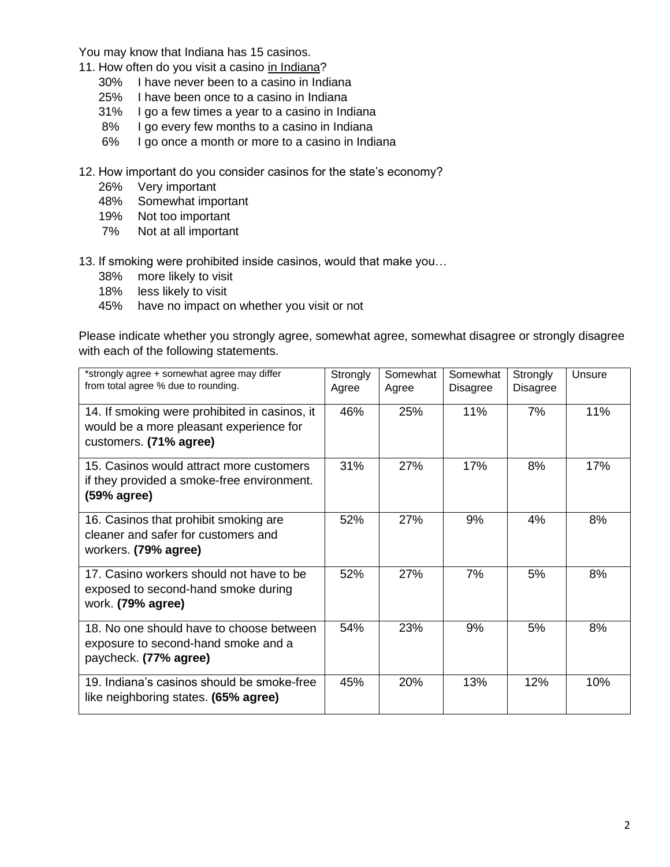You may know that Indiana has 15 casinos.

- 11. How often do you visit a casino in Indiana?
	- 30% I have never been to a casino in Indiana
	- 25% I have been once to a casino in Indiana
	- 31% I go a few times a year to a casino in Indiana
	- 8% I go every few months to a casino in Indiana
	- 6% I go once a month or more to a casino in Indiana
- 12. How important do you consider casinos for the state's economy?
	- 26% Very important
	- 48% Somewhat important
	- 19% Not too important
	- 7% Not at all important
- 13. If smoking were prohibited inside casinos, would that make you…
	- 38% more likely to visit
	- 18% less likely to visit
	- 45% have no impact on whether you visit or not

Please indicate whether you strongly agree, somewhat agree, somewhat disagree or strongly disagree with each of the following statements.

| *strongly agree + somewhat agree may differ<br>from total agree % due to rounding.                                 | Strongly<br>Agree | Somewhat<br>Agree | Somewhat<br>Disagree | Strongly<br><b>Disagree</b> | Unsure |
|--------------------------------------------------------------------------------------------------------------------|-------------------|-------------------|----------------------|-----------------------------|--------|
| 14. If smoking were prohibited in casinos, it<br>would be a more pleasant experience for<br>customers. (71% agree) | 46%               | 25%               | 11%                  | 7%                          | 11%    |
| 15. Casinos would attract more customers<br>if they provided a smoke-free environment.<br>(59% agree)              | 31%               | 27%               | 17%                  | 8%                          | 17%    |
| 16. Casinos that prohibit smoking are<br>cleaner and safer for customers and<br>workers. (79% agree)               | 52%               | 27%               | 9%                   | 4%                          | 8%     |
| 17. Casino workers should not have to be<br>exposed to second-hand smoke during<br>work. (79% agree)               | 52%               | 27%               | 7%                   | 5%                          | 8%     |
| 18. No one should have to choose between<br>exposure to second-hand smoke and a<br>paycheck. (77% agree)           | 54%               | 23%               | 9%                   | 5%                          | 8%     |
| 19. Indiana's casinos should be smoke-free<br>like neighboring states. (65% agree)                                 | 45%               | 20%               | 13%                  | 12%                         | 10%    |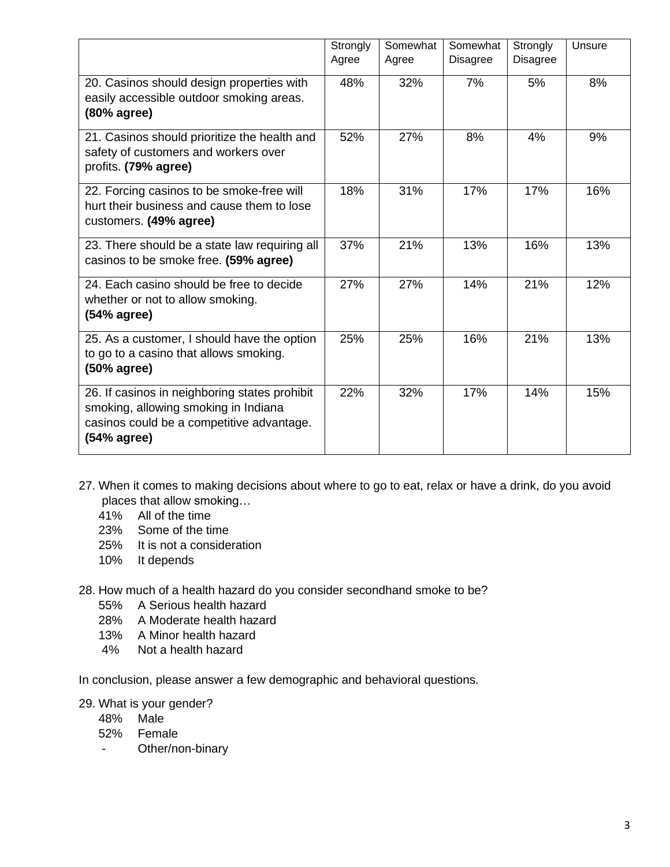|                                                                                                                                                   | Strongly<br>Agree | Somewhat<br>Agree | Somewhat<br><b>Disagree</b> | Strongly<br><b>Disagree</b> | Unsure |
|---------------------------------------------------------------------------------------------------------------------------------------------------|-------------------|-------------------|-----------------------------|-----------------------------|--------|
| 20. Casinos should design properties with<br>easily accessible outdoor smoking areas.<br>(80% agree)                                              | 48%               | 32%               | 7%                          | 5%                          | 8%     |
| 21. Casinos should prioritize the health and<br>safety of customers and workers over<br>profits. (79% agree)                                      | 52%               | 27%               | 8%                          | 4%                          | 9%     |
| 22. Forcing casinos to be smoke-free will<br>hurt their business and cause them to lose<br>customers. (49% agree)                                 | 18%               | 31%               | 17%                         | 17%                         | 16%    |
| 23. There should be a state law requiring all<br>casinos to be smoke free. (59% agree)                                                            | 37%               | 21%               | 13%                         | 16%                         | 13%    |
| 24. Each casino should be free to decide<br>whether or not to allow smoking.<br>(54% agree)                                                       | 27%               | 27%               | 14%                         | 21%                         | 12%    |
| 25. As a customer, I should have the option<br>to go to a casino that allows smoking.<br>(50% agree)                                              | 25%               | 25%               | 16%                         | 21%                         | 13%    |
| 26. If casinos in neighboring states prohibit<br>smoking, allowing smoking in Indiana<br>casinos could be a competitive advantage.<br>(54% agree) | 22%               | 32%               | 17%                         | 14%                         | 15%    |

- 27. When it comes to making decisions about where to go to eat, relax or have a drink, do you avoid places that allow smoking…
	- 41% All of the time
	- 23% Some of the time
	- 25% It is not a consideration
	- 10% It depends
- 28. How much of a health hazard do you consider secondhand smoke to be?
	- 55% A Serious health hazard
	- 28% A Moderate health hazard
	- 13% A Minor health hazard
	- 4% Not a health hazard

In conclusion, please answer a few demographic and behavioral questions.

- 29. What is your gender?
	- 48% Male
	- 52% Female
	- Other/non-binary